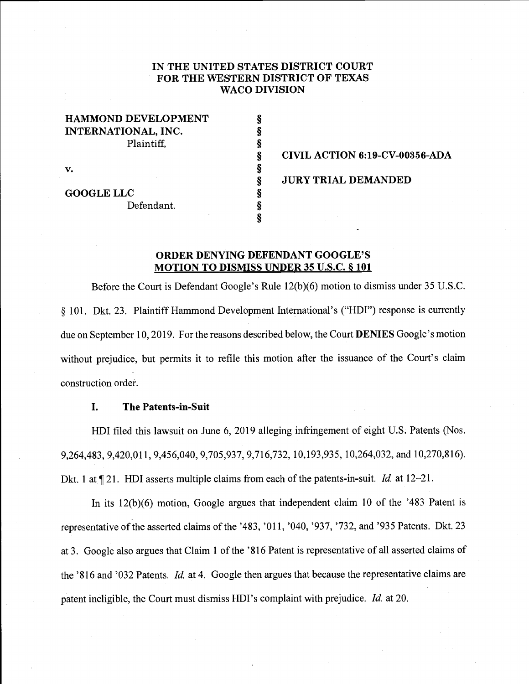## IN THE UNITED STATES DISTRICT COURT FOR THE WESTERN DISTRICT OF TEXAS WACO DIVISION

| <b>HAMMOND DEVELOPMENT</b> |  |
|----------------------------|--|
| <b>INTERNATIONAL, INC.</b> |  |
| Plaintiff,                 |  |
|                            |  |
| v.                         |  |
|                            |  |
| <b>GOOGLE LLC</b>          |  |

Defendant. §

§ CIVIL ACTION 6:19-CV-00356-ADA

§ JURY TRIAL DEMANDED

## ORDER DENYING DEFENDANT GOOGLE'S **MOTION TO DISMISS UNDER 35 U.S.C. § 101**

§

Before the Court is Defendant Google's Rule 12(b)(6) motion to dismiss under 35 U.s.c. § 101. Dkt. 23. Plaintiff Hammond Development International's ("HDI") response is currently due on September 10, 2019. For the reasons described below, the Court DENIES Google's motion without prejudice, but permits it to refile this motion after the issuance of the Court's claim construction order.

## I. The Patents-in-Suit

HDI filed this lawsuit on June 6, 2019 alleging infringement of eight U.S. Patents (Nos. 9,264,483, 9,420,011, 9,456,040, 9,705,937, 9,716,732, 10,193,935, 10,264,032, and 10,270,816). Dkt. 1 at  $\P$  21. HDI asserts multiple claims from each of the patents-in-suit. *Id.* at 12-21.

In its  $12(b)(6)$  motion, Google argues that independent claim 10 of the '483 Patent is representative of the asserted claims of the '483, '011, '040, '937, '732, and '935 Patents. Dkt. 23 at 3. Google also argues that Claim 1 of the '816 Patent is representative of all asserted claims of the '816 and '032 Patents. Id. at 4. Google then argues that because the representative claims are patent ineligible, the Court must dismiss HDI's complaint with prejudice. Id. at 20.